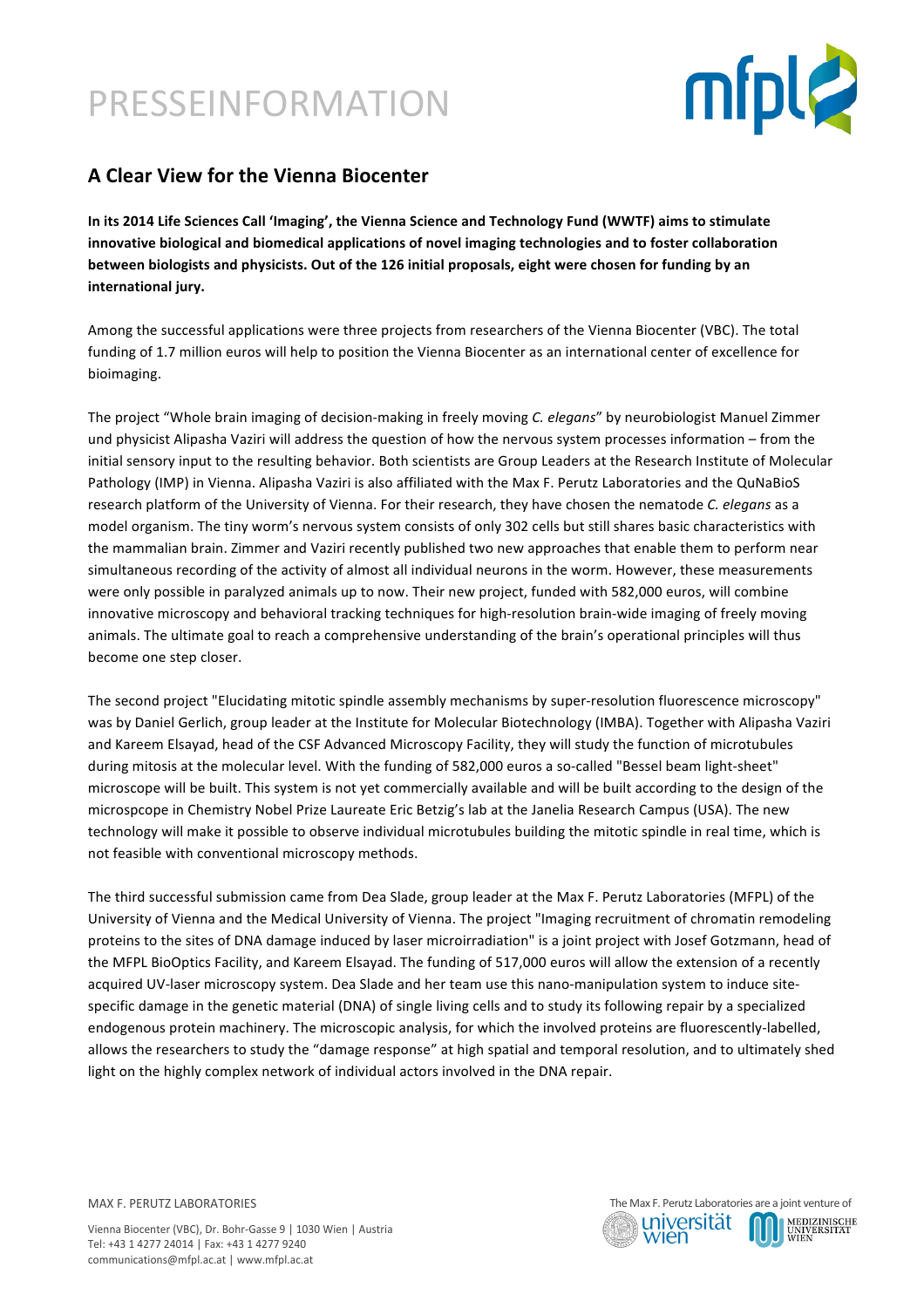# PRESSEINFORMATION



### **A Clear View for the Vienna Biocenter**

In its 2014 Life Sciences Call 'Imaging', the Vienna Science and Technology Fund (WWTF) aims to stimulate innovative biological and biomedical applications of novel imaging technologies and to foster collaboration **between biologists and physicists. Out of the 126 initial proposals, eight were chosen for funding by an** international jury.

Among the successful applications were three projects from researchers of the Vienna Biocenter (VBC). The total funding of 1.7 million euros will help to position the Vienna Biocenter as an international center of excellence for bioimaging. 

The project "Whole brain imaging of decision-making in freely moving *C. elegans*" by neurobiologist Manuel Zimmer und physicist Alipasha Vaziri will address the question of how the nervous system processes information – from the initial sensory input to the resulting behavior. Both scientists are Group Leaders at the Research Institute of Molecular Pathology (IMP) in Vienna. Alipasha Vaziri is also affiliated with the Max F. Perutz Laboratories and the QuNaBioS research platform of the University of Vienna. For their research, they have chosen the nematode *C. elegans* as a model organism. The tiny worm's nervous system consists of only 302 cells but still shares basic characteristics with the mammalian brain. Zimmer and Vaziri recently published two new approaches that enable them to perform near simultaneous recording of the activity of almost all individual neurons in the worm. However, these measurements were only possible in paralyzed animals up to now. Their new project, funded with 582,000 euros, will combine innovative microscopy and behavioral tracking techniques for high-resolution brain-wide imaging of freely moving animals. The ultimate goal to reach a comprehensive understanding of the brain's operational principles will thus become one step closer.

The second project "Elucidating mitotic spindle assembly mechanisms by super-resolution fluorescence microscopy" was by Daniel Gerlich, group leader at the Institute for Molecular Biotechnology (IMBA). Together with Alipasha Vaziri and Kareem Elsayad, head of the CSF Advanced Microscopy Facility, they will study the function of microtubules during mitosis at the molecular level. With the funding of 582,000 euros a so-called "Bessel beam light-sheet" microscope will be built. This system is not yet commercially available and will be built according to the design of the microspcope in Chemistry Nobel Prize Laureate Eric Betzig's lab at the Janelia Research Campus (USA). The new technology will make it possible to observe individual microtubules building the mitotic spindle in real time, which is not feasible with conventional microscopy methods.

The third successful submission came from Dea Slade, group leader at the Max F. Perutz Laboratories (MFPL) of the University of Vienna and the Medical University of Vienna. The project "Imaging recruitment of chromatin remodeling proteins to the sites of DNA damage induced by laser microirradiation" is a joint project with Josef Gotzmann, head of the MFPL BioOptics Facility, and Kareem Elsayad. The funding of 517,000 euros will allow the extension of a recently acquired UV-laser microscopy system. Dea Slade and her team use this nano-manipulation system to induce sitespecific damage in the genetic material (DNA) of single living cells and to study its following repair by a specialized endogenous protein machinery. The microscopic analysis, for which the involved proteins are fluorescently-labelled, allows the researchers to study the "damage response" at high spatial and temporal resolution, and to ultimately shed light on the highly complex network of individual actors involved in the DNA repair.

MAX F. PERUTZ LABORATORIES